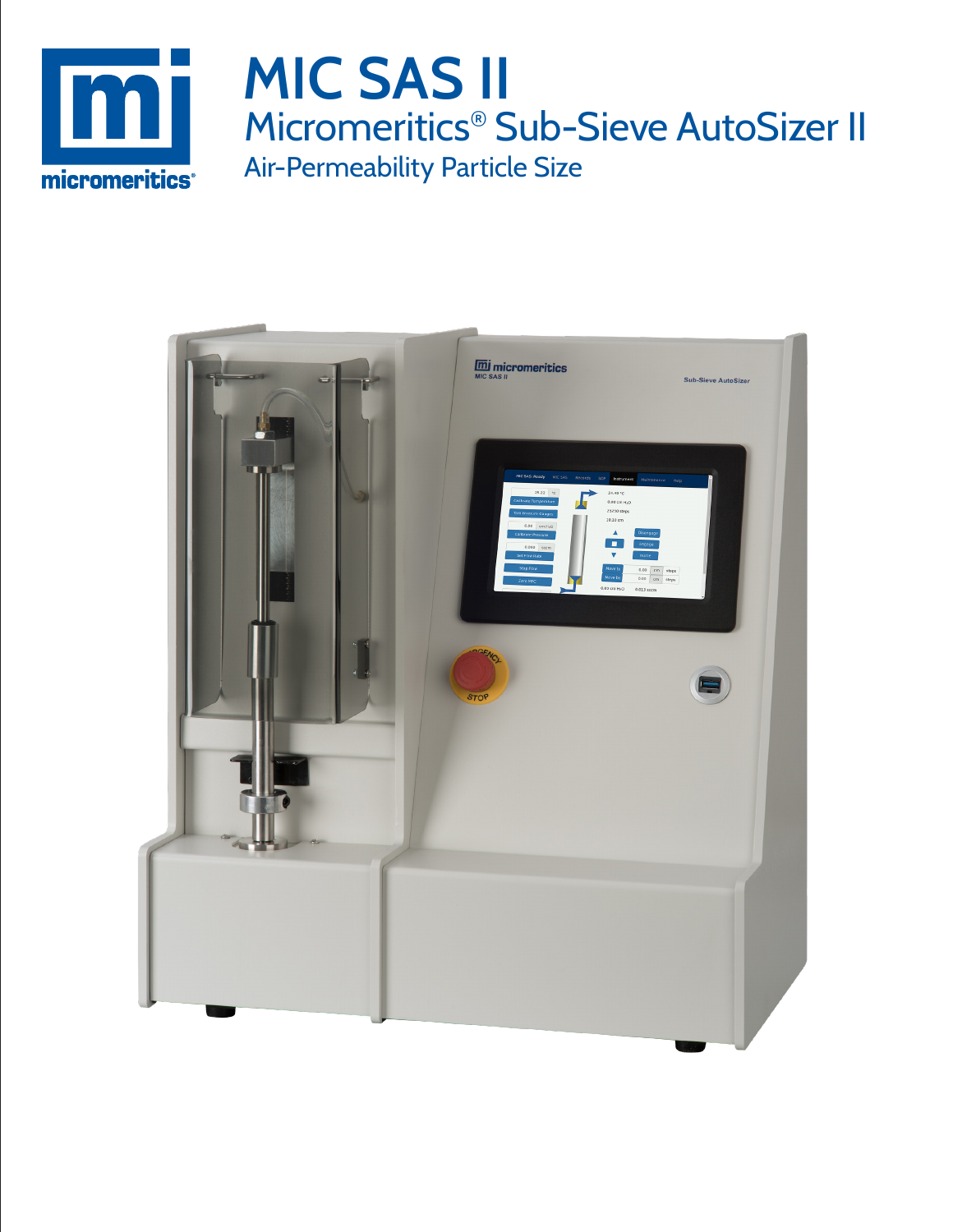

# **MIC SAS II** Micromeritics® Sub-Sieve AutoSizer II Air-Permeability Particle Size

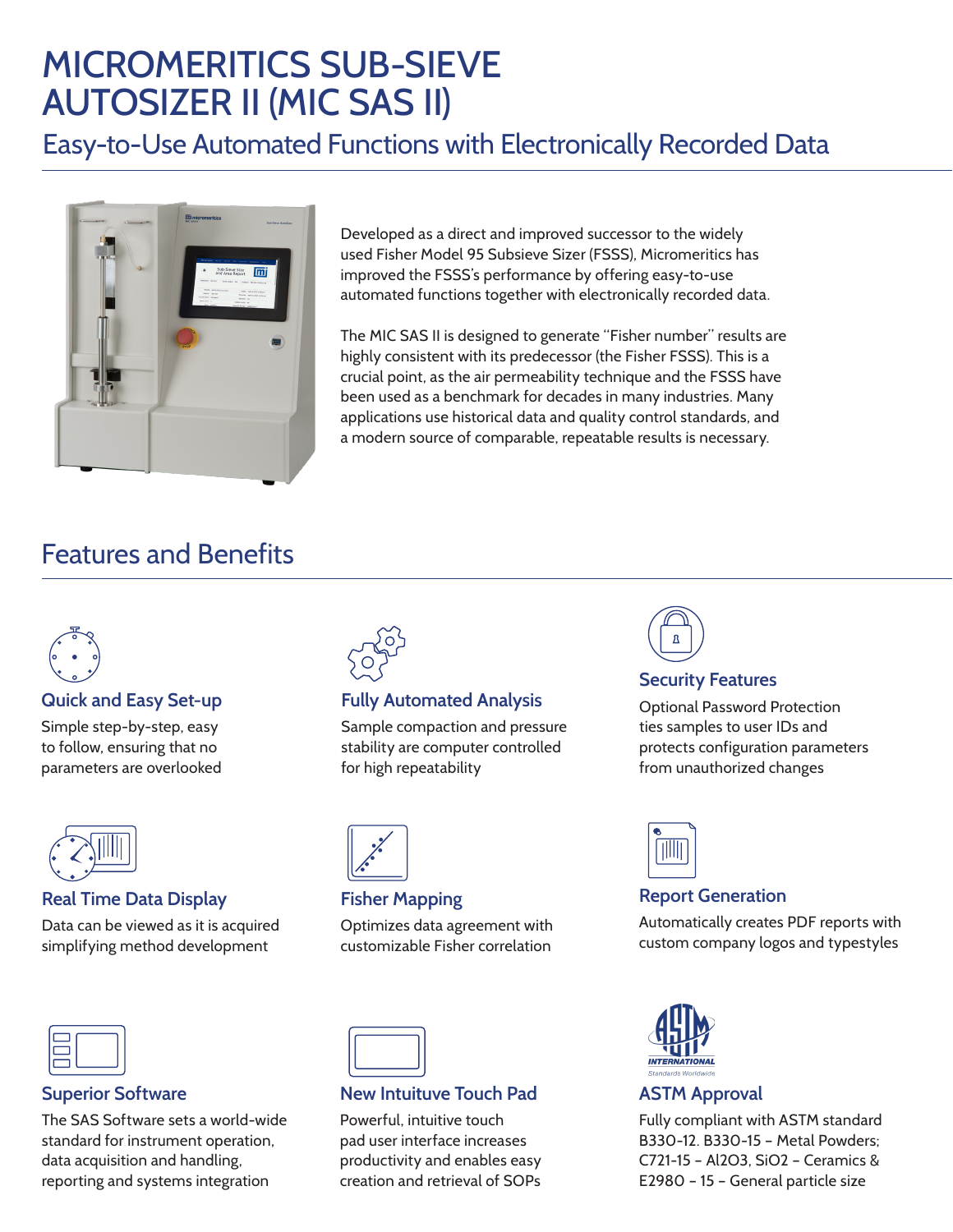# MICROMERITICS SUB-SIEVE AUTOSIZER II (MIC SAS II)

Easy-to-Use Automated Functions with Electronically Recorded Data



Developed as a direct and improved successor to the widely used Fisher Model 95 Subsieve Sizer (FSSS), Micromeritics has improved the FSSS's performance by offering easy-to-use automated functions together with electronically recorded data.

The MIC SAS II is designed to generate "Fisher number" results are highly consistent with its predecessor (the Fisher FSSS). This is a crucial point, as the air permeability technique and the FSSS have been used as a benchmark for decades in many industries. Many applications use historical data and quality control standards, and a modern source of comparable, repeatable results is necessary.

## Features and Benefits



#### **Quick and Easy Set-up**

Simple step-by-step, easy to follow, ensuring that no parameters are overlooked



#### **Real Time Data Display**

Data can be viewed as it is acquired simplifying method development



#### **Superior Software**

The SAS Software sets a world-wide standard for instrument operation, data acquisition and handling, reporting and systems integration



### **Fully Automated Analysis**

Sample compaction and pressure stability are computer controlled for high repeatability



#### **Fisher Mapping**

Optimizes data agreement with customizable Fisher correlation



### **New Intuituve Touch Pad**

Powerful, intuitive touch pad user interface increases productivity and enables easy creation and retrieval of SOPs



#### **Security Features**

Optional Password Protection ties samples to user IDs and protects configuration parameters from unauthorized changes



### **Report Generation**

Automatically creates PDF reports with custom company logos and typestyles



### **ASTM Approval**

Fully compliant with ASTM standard B330-12. B330-15 – Metal Powders; C721-15 – Al2O3, SiO2 – Ceramics & E2980 – 15 – General particle size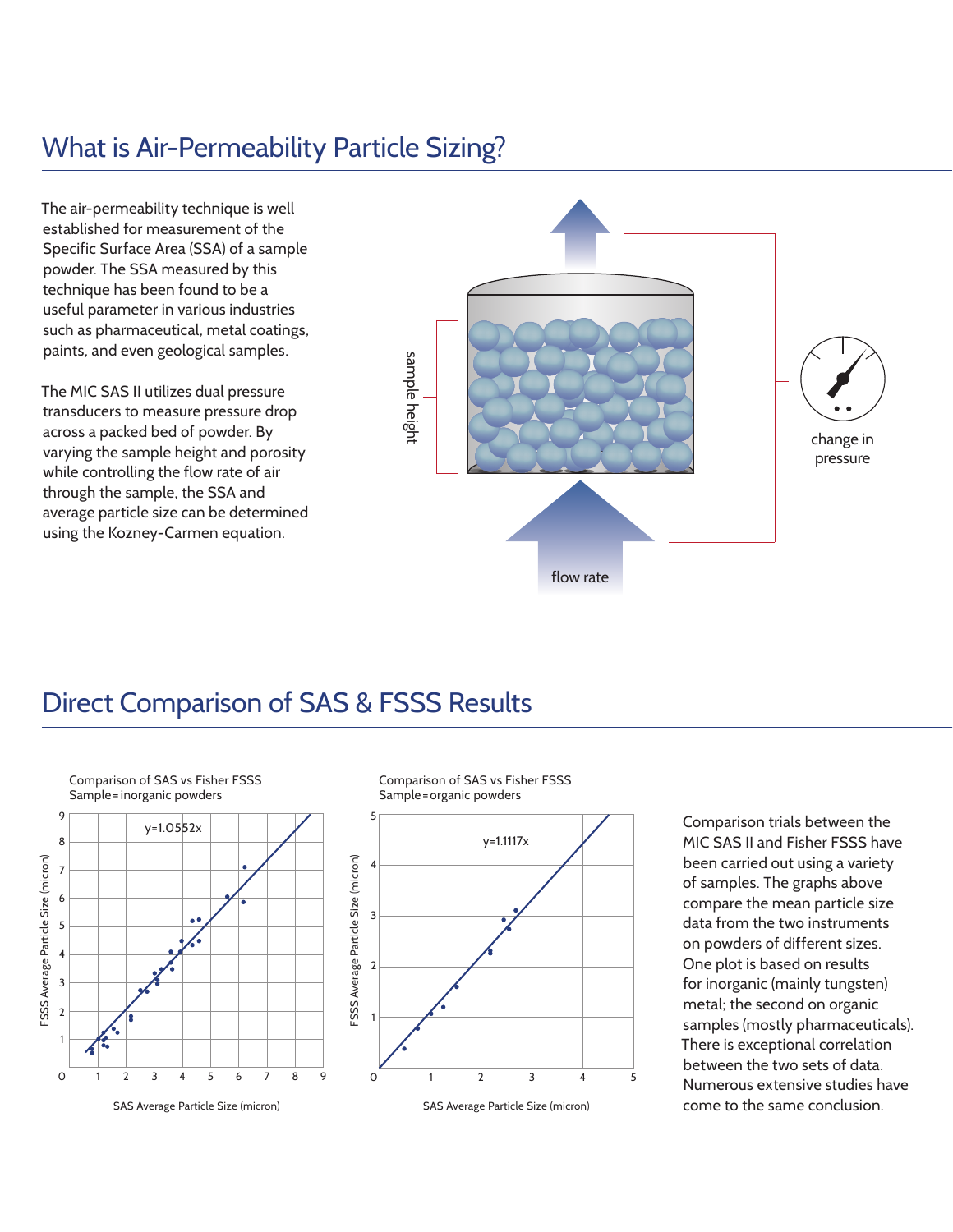## What is Air-Permeability Particle Sizing?

The air-permeability technique is well established for measurement of the Specific Surface Area (SSA) of a sample powder. The SSA measured by this technique has been found to be a useful parameter in various industries such as pharmaceutical, metal coatings, paints, and even geological samples.

The MIC SAS II utilizes dual pressure transducers to measure pressure drop across a packed bed of powder. By varying the sample height and porosity while controlling the flow rate of air through the sample, the SSA and average particle size can be determined using the Kozney-Carmen equation.





Comparison trials between the MIC SAS II and Fisher FSSS have been carried out using a variety of samples. The graphs above compare the mean particle size data from the two instruments on powders of different sizes. One plot is based on results for inorganic (mainly tungsten) metal; the second on organic samples (mostly pharmaceuticals). There is exceptional correlation between the two sets of data. Numerous extensive studies have come to the same conclusion.